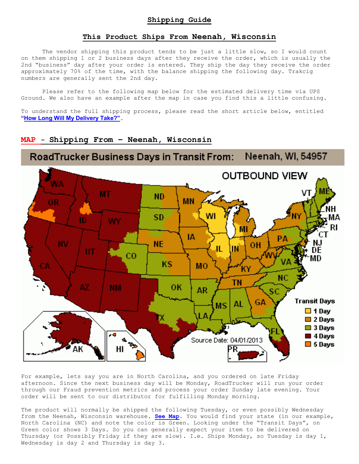## **This Product Ships From Neenah, Wisconsin**

The vendor shipping this product tends to be just a little slow, so I would count on them shipping 1 or 2 business days after they receive the order, which is usually the 2nd "business" day after your order is entered. They ship the day they receive the order approximately 70% of the time, with the balance shipping the following day. Trakcig numbers are generally sent the 2nd day.

Please refer to the following map below for the estimated delivery time via UPS Ground. We also have an example after the map in case you find this a little confusing.

To understand the full shipping process, please read the short article below, entitled **"How Long Will My Delivery Take?"**.

## **MAP - Shipping From – Neenah, Wisconsin**



For example, lets say you are in North Carolina, and you ordered on late Friday afternoon. Since the next business day will be Monday, RoadTrucker will run your order through our Fraud prevention metrics and process your order Sunday late evening. Your order will be sent to our distributor for fulfilling Monday morning.

The product will normally be shipped the following Tuesday, or even possibly Wednesday from the Neenah, Wisconsin warehouse. **See Map.** You would find your state (in our example, North Carolina (NC) and note the color is Green. Looking under the "Transit Days", on Green color shows 3 Days. So you can generally expect your item to be delivered on Thursday (or Possibly Friday if they are slow). I.e. Ships Monday, so Tuesday is day 1, Wednesday is day 2 and Thursday is day 3.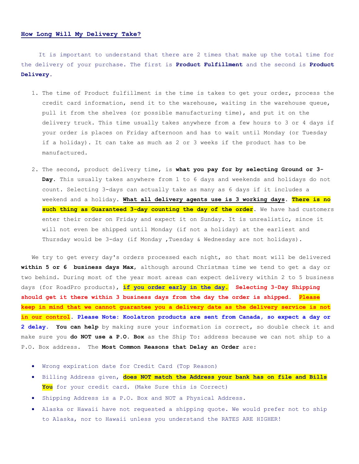## **How Long Will My Delivery Take?**

 It is important to understand that there are 2 times that make up the total time for the delivery of your purchase. The first is **Product Fulfillment** and the second is **Product Delivery.**

- 1. The time of Product fulfillment is the time is takes to get your order, process the credit card information, send it to the warehouse, waiting in the warehouse queue, pull it from the shelves (or possible manufacturing time), and put it on the delivery truck. This time usually takes anywhere from a few hours to 3 or 4 days if your order is places on Friday afternoon and has to wait until Monday (or Tuesday if a holiday). It can take as much as 2 or 3 weeks if the product has to be manufactured.
- 2. The second, product delivery time, is **what you pay for by selecting Ground or 3- Day**. This usually takes anywhere from 1 to 6 days and weekends and holidays do not count. Selecting 3-days can actually take as many as 6 days if it includes a weekend and a holiday. **What all delivery agents use is 3 working days**. **There is no such thing as Guaranteed 3-day counting the day of the order**. We have had customers enter their order on Friday and expect it on Sunday. It is unrealistic, since it will not even be shipped until Monday (if not a holiday) at the earliest and Thursday would be 3-day (if Monday ,Tuesday & Wednesday are not holidays).

We try to get every day's orders processed each night, so that most will be delivered **within 5 or 6 business days Max**, although around Christmas time we tend to get a day or two behind. During most of the year most areas can expect delivery within 2 to 5 business days (for RoadPro products), **if you order early in the day. Selecting 3-Day Shipping should get it there within 3 business days from the day the order is shipped. Please keep in mind that we cannot guarantee you a delivery date as the delivery service is not in our control**. **Please Note: Koolatron products are sent from Canada, so expect a day or 2 delay. You can help** by making sure your information is correct, so double check it and make sure you **do NOT use a P.O. Box** as the Ship To: address because we can not ship to a P.O. Box address. The **Most Common Reasons that Delay an Order** are:

- Wrong expiration date for Credit Card (Top Reason)
- Billing Address given, **does NOT match the Address your bank has on file and Bills You** for your credit card. (Make Sure this is Correct)
- Shipping Address is a P.O. Box and NOT a Physical Address.
- Alaska or Hawaii have not requested a shipping quote. We would prefer not to ship to Alaska, nor to Hawaii unless you understand the RATES ARE HIGHER!